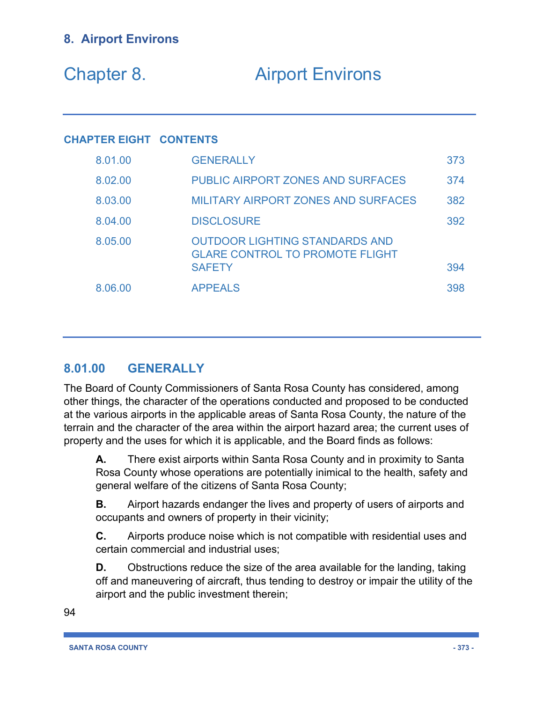| Chapter 8. | <b>Airport Environs</b> |
|------------|-------------------------|
|------------|-------------------------|

### **CHAPTER EIGHT CONTENTS**

| 8.01.00 | <b>GENERALLY</b>                                                                                 | 373 |
|---------|--------------------------------------------------------------------------------------------------|-----|
| 8.02.00 | <b>PUBLIC AIRPORT ZONES AND SURFACES</b>                                                         | 374 |
| 8.03.00 | <b>MILITARY AIRPORT ZONES AND SURFACES</b>                                                       | 382 |
| 8.04.00 | <b>DISCLOSURE</b>                                                                                | 392 |
| 8.05.00 | <b>OUTDOOR LIGHTING STANDARDS AND</b><br><b>GLARE CONTROL TO PROMOTE FLIGHT</b><br><b>SAFETY</b> | 394 |
| 8.06.00 | <b>APPEALS</b>                                                                                   | 398 |

# **8.01.00 GENERALLY**

The Board of County Commissioners of Santa Rosa County has considered, among other things, the character of the operations conducted and proposed to be conducted at the various airports in the applicable areas of Santa Rosa County, the nature of the terrain and the character of the area within the airport hazard area; the current uses of property and the uses for which it is applicable, and the Board finds as follows:

**A.** There exist airports within Santa Rosa County and in proximity to Santa Rosa County whose operations are potentially inimical to the health, safety and general welfare of the citizens of Santa Rosa County;

**B.** Airport hazards endanger the lives and property of users of airports and occupants and owners of property in their vicinity;

**C.** Airports produce noise which is not compatible with residential uses and certain commercial and industrial uses;

**D.** Obstructions reduce the size of the area available for the landing, taking off and maneuvering of aircraft, thus tending to destroy or impair the utility of the airport and the public investment therein;

94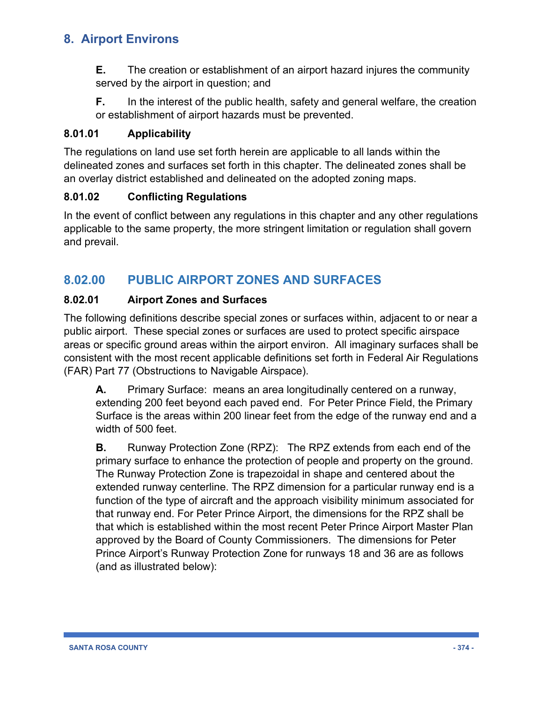**E.** The creation or establishment of an airport hazard injures the community served by the airport in question; and

**F.** In the interest of the public health, safety and general welfare, the creation or establishment of airport hazards must be prevented.

### **8.01.01 Applicability**

The regulations on land use set forth herein are applicable to all lands within the delineated zones and surfaces set forth in this chapter. The delineated zones shall be an overlay district established and delineated on the adopted zoning maps.

### **8.01.02 Conflicting Regulations**

In the event of conflict between any regulations in this chapter and any other regulations applicable to the same property, the more stringent limitation or regulation shall govern and prevail.

# **8.02.00 PUBLIC AIRPORT ZONES AND SURFACES**

### **8.02.01 Airport Zones and Surfaces**

The following definitions describe special zones or surfaces within, adjacent to or near a public airport. These special zones or surfaces are used to protect specific airspace areas or specific ground areas within the airport environ. All imaginary surfaces shall be consistent with the most recent applicable definitions set forth in Federal Air Regulations (FAR) Part 77 (Obstructions to Navigable Airspace).

**A.** Primary Surface: means an area longitudinally centered on a runway, extending 200 feet beyond each paved end. For Peter Prince Field, the Primary Surface is the areas within 200 linear feet from the edge of the runway end and a width of 500 feet.

**B.** Runway Protection Zone (RPZ): The RPZ extends from each end of the primary surface to enhance the protection of people and property on the ground. The Runway Protection Zone is trapezoidal in shape and centered about the extended runway centerline. The RPZ dimension for a particular runway end is a function of the type of aircraft and the approach visibility minimum associated for that runway end. For Peter Prince Airport, the dimensions for the RPZ shall be that which is established within the most recent Peter Prince Airport Master Plan approved by the Board of County Commissioners. The dimensions for Peter Prince Airport's Runway Protection Zone for runways 18 and 36 are as follows (and as illustrated below):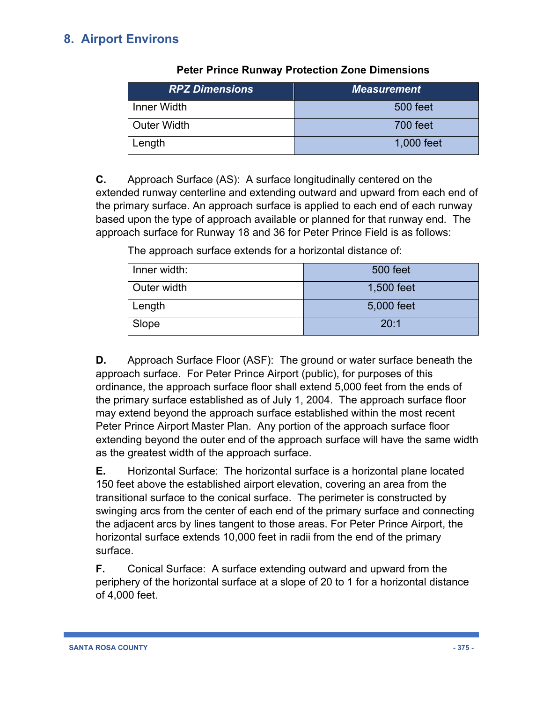| <b>RPZ Dimensions</b> | <b>Measurement</b> |
|-----------------------|--------------------|
| Inner Width           | 500 feet           |
| <b>Outer Width</b>    | 700 feet           |
| Length                | 1,000 feet         |

**Peter Prince Runway Protection Zone Dimensions**

**C.** Approach Surface (AS): A surface longitudinally centered on the extended runway centerline and extending outward and upward from each end of the primary surface. An approach surface is applied to each end of each runway based upon the type of approach available or planned for that runway end. The approach surface for Runway 18 and 36 for Peter Prince Field is as follows:

The approach surface extends for a horizontal distance of:

| Inner width: | 500 feet   |
|--------------|------------|
| Outer width  | 1,500 feet |
| Length       | 5,000 feet |
| Slope        | 20:1       |

**D.** Approach Surface Floor (ASF): The ground or water surface beneath the approach surface. For Peter Prince Airport (public), for purposes of this ordinance, the approach surface floor shall extend 5,000 feet from the ends of the primary surface established as of July 1, 2004. The approach surface floor may extend beyond the approach surface established within the most recent Peter Prince Airport Master Plan. Any portion of the approach surface floor extending beyond the outer end of the approach surface will have the same width as the greatest width of the approach surface.

**E.** Horizontal Surface: The horizontal surface is a horizontal plane located 150 feet above the established airport elevation, covering an area from the transitional surface to the conical surface. The perimeter is constructed by swinging arcs from the center of each end of the primary surface and connecting the adjacent arcs by lines tangent to those areas. For Peter Prince Airport, the horizontal surface extends 10,000 feet in radii from the end of the primary surface.

**F.** Conical Surface: A surface extending outward and upward from the periphery of the horizontal surface at a slope of 20 to 1 for a horizontal distance of 4,000 feet.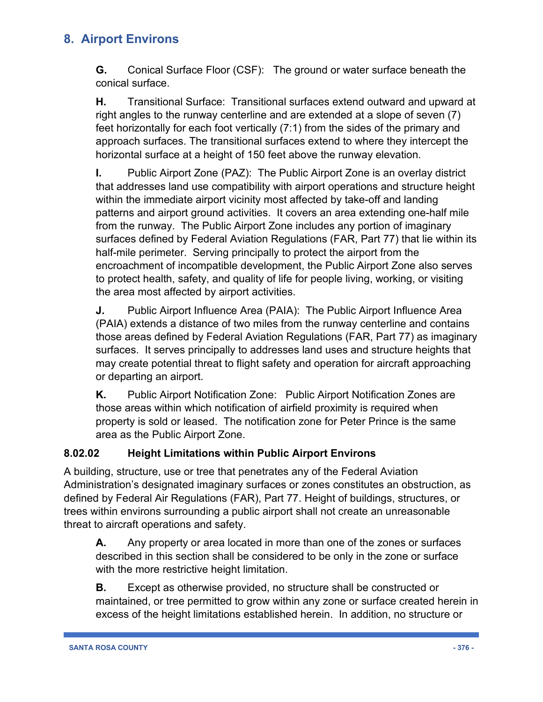**G.** Conical Surface Floor (CSF): The ground or water surface beneath the conical surface.

**H.** Transitional Surface: Transitional surfaces extend outward and upward at right angles to the runway centerline and are extended at a slope of seven (7) feet horizontally for each foot vertically (7:1) from the sides of the primary and approach surfaces. The transitional surfaces extend to where they intercept the horizontal surface at a height of 150 feet above the runway elevation.

**I.** Public Airport Zone (PAZ): The Public Airport Zone is an overlay district that addresses land use compatibility with airport operations and structure height within the immediate airport vicinity most affected by take-off and landing patterns and airport ground activities. It covers an area extending one-half mile from the runway. The Public Airport Zone includes any portion of imaginary surfaces defined by Federal Aviation Regulations (FAR, Part 77) that lie within its half-mile perimeter. Serving principally to protect the airport from the encroachment of incompatible development, the Public Airport Zone also serves to protect health, safety, and quality of life for people living, working, or visiting the area most affected by airport activities.

**J.** Public Airport Influence Area (PAIA): The Public Airport Influence Area (PAIA) extends a distance of two miles from the runway centerline and contains those areas defined by Federal Aviation Regulations (FAR, Part 77) as imaginary surfaces. It serves principally to addresses land uses and structure heights that may create potential threat to flight safety and operation for aircraft approaching or departing an airport.

**K.** Public Airport Notification Zone: Public Airport Notification Zones are those areas within which notification of airfield proximity is required when property is sold or leased. The notification zone for Peter Prince is the same area as the Public Airport Zone.

### **8.02.02 Height Limitations within Public Airport Environs**

A building, structure, use or tree that penetrates any of the Federal Aviation Administration's designated imaginary surfaces or zones constitutes an obstruction, as defined by Federal Air Regulations (FAR), Part 77. Height of buildings, structures, or trees within environs surrounding a public airport shall not create an unreasonable threat to aircraft operations and safety.

**A.** Any property or area located in more than one of the zones or surfaces described in this section shall be considered to be only in the zone or surface with the more restrictive height limitation.

**B.** Except as otherwise provided, no structure shall be constructed or maintained, or tree permitted to grow within any zone or surface created herein in excess of the height limitations established herein. In addition, no structure or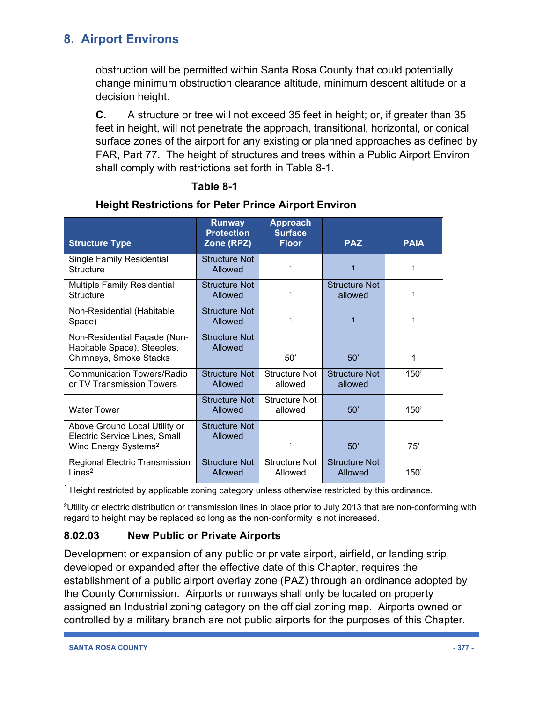obstruction will be permitted within Santa Rosa County that could potentially change minimum obstruction clearance altitude, minimum descent altitude or a decision height.

**C.** A structure or tree will not exceed 35 feet in height; or, if greater than 35 feet in height, will not penetrate the approach, transitional, horizontal, or conical surface zones of the airport for any existing or planned approaches as defined by FAR, Part 77. The height of structures and trees within a Public Airport Environ shall comply with restrictions set forth in Table 8-1.

### **Table 8-1**

| <b>Structure Type</b>                                                                              | <b>Runway</b><br><b>Protection</b><br>Zone (RPZ) | <b>Approach</b><br><b>Surface</b><br><b>Floor</b> | <b>PAZ</b>                      | <b>PAIA</b> |
|----------------------------------------------------------------------------------------------------|--------------------------------------------------|---------------------------------------------------|---------------------------------|-------------|
| Single Family Residential<br>Structure                                                             | Structure Not<br>Allowed                         | $\mathbf 1$                                       | $\overline{1}$                  | 1           |
| <b>Multiple Family Residential</b><br>Structure                                                    | Structure Not<br>Allowed                         | $\mathbf 1$                                       | <b>Structure Not</b><br>allowed | 1           |
| Non-Residential (Habitable<br>Space)                                                               | Structure Not<br>Allowed                         | $\mathbf 1$                                       | $\overline{1}$                  | 1           |
| Non-Residential Façade (Non-<br>Habitable Space), Steeples,<br>Chimneys, Smoke Stacks              | Structure Not<br>Allowed                         | 50'                                               | 50'                             | 1           |
| <b>Communication Towers/Radio</b><br>or TV Transmission Towers                                     | <b>Structure Not</b><br>Allowed                  | <b>Structure Not</b><br>allowed                   | Structure Not<br>allowed        | 150'        |
| <b>Water Tower</b>                                                                                 | <b>Structure Not</b><br>Allowed                  | <b>Structure Not</b><br>allowed                   | 50'                             | 150'        |
| Above Ground Local Utility or<br>Electric Service Lines, Small<br>Wind Energy Systems <sup>2</sup> | Structure Not<br>Allowed                         | $\mathbf 1$                                       | 50'                             | 75'         |
| Regional Electric Transmission<br>Lines <sup>2</sup>                                               | <b>Structure Not</b><br>Allowed                  | <b>Structure Not</b><br>Allowed                   | <b>Structure Not</b><br>Allowed | 150'        |

### **Height Restrictions for Peter Prince Airport Environ**

 $1$  Height restricted by applicable zoning category unless otherwise restricted by this ordinance.

2Utility or electric distribution or transmission lines in place prior to July 2013 that are non-conforming with regard to height may be replaced so long as the non-conformity is not increased.

### **8.02.03 New Public or Private Airports**

Development or expansion of any public or private airport, airfield, or landing strip, developed or expanded after the effective date of this Chapter, requires the establishment of a public airport overlay zone (PAZ) through an ordinance adopted by the County Commission. Airports or runways shall only be located on property assigned an Industrial zoning category on the official zoning map. Airports owned or controlled by a military branch are not public airports for the purposes of this Chapter.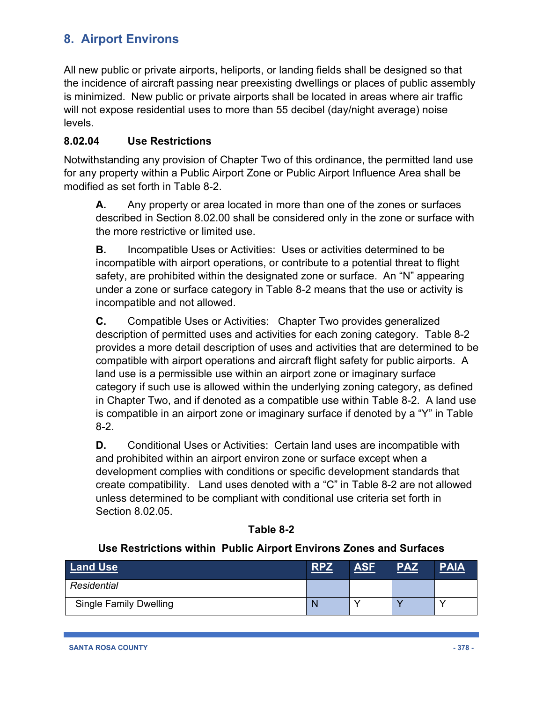All new public or private airports, heliports, or landing fields shall be designed so that the incidence of aircraft passing near preexisting dwellings or places of public assembly is minimized. New public or private airports shall be located in areas where air traffic will not expose residential uses to more than 55 decibel (day/night average) noise levels.

### **8.02.04 Use Restrictions**

Notwithstanding any provision of Chapter Two of this ordinance, the permitted land use for any property within a Public Airport Zone or Public Airport Influence Area shall be modified as set forth in Table 8-2.

**A.** Any property or area located in more than one of the zones or surfaces described in Section 8.02.00 shall be considered only in the zone or surface with the more restrictive or limited use.

**B.** Incompatible Uses or Activities: Uses or activities determined to be incompatible with airport operations, or contribute to a potential threat to flight safety, are prohibited within the designated zone or surface. An "N" appearing under a zone or surface category in Table 8-2 means that the use or activity is incompatible and not allowed.

**C.** Compatible Uses or Activities: Chapter Two provides generalized description of permitted uses and activities for each zoning category. Table 8-2 provides a more detail description of uses and activities that are determined to be compatible with airport operations and aircraft flight safety for public airports. A land use is a permissible use within an airport zone or imaginary surface category if such use is allowed within the underlying zoning category, as defined in Chapter Two, and if denoted as a compatible use within Table 8-2. A land use is compatible in an airport zone or imaginary surface if denoted by a "Y" in Table 8-2.

**D.** Conditional Uses or Activities: Certain land uses are incompatible with and prohibited within an airport environ zone or surface except when a development complies with conditions or specific development standards that create compatibility. Land uses denoted with a "C" in Table 8-2 are not allowed unless determined to be compliant with conditional use criteria set forth in Section 8.02.05.

### **Table 8-2**

#### **Use Restrictions within Public Airport Environs Zones and Surfaces**

| <b>Land Use</b>               | <b>RPZ</b> | ASF | PAZ | PAIA |
|-------------------------------|------------|-----|-----|------|
| Residential                   |            |     |     |      |
| <b>Single Family Dwelling</b> |            |     |     |      |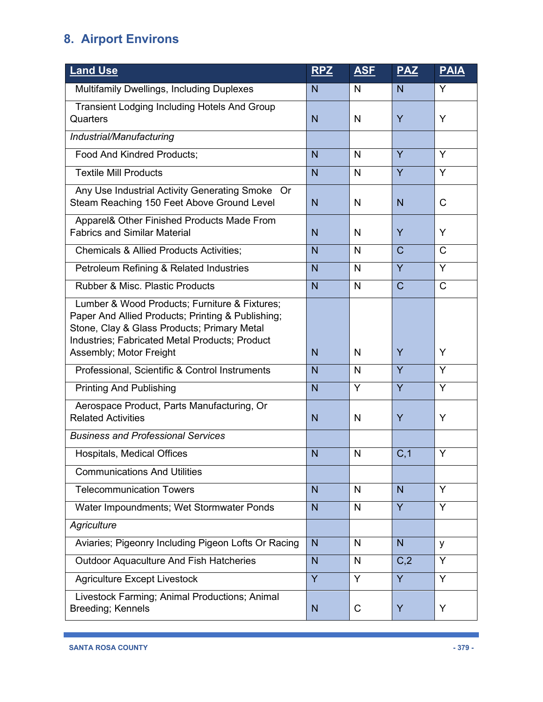| <b>Land Use</b>                                                                                                                                                                                     | <b>RPZ</b>     | <b>ASF</b> | <b>PAZ</b>     | <b>PAIA</b>  |
|-----------------------------------------------------------------------------------------------------------------------------------------------------------------------------------------------------|----------------|------------|----------------|--------------|
| Multifamily Dwellings, Including Duplexes                                                                                                                                                           | N              | N          | N              | Y            |
| <b>Transient Lodging Including Hotels And Group</b><br>Quarters                                                                                                                                     | N              | N          | Y              | Y            |
| Industrial/Manufacturing                                                                                                                                                                            |                |            |                |              |
| Food And Kindred Products;                                                                                                                                                                          | N              | N          | Y              | Y            |
| <b>Textile Mill Products</b>                                                                                                                                                                        | N              | N          | Y              | Y            |
| Any Use Industrial Activity Generating Smoke Or<br>Steam Reaching 150 Feet Above Ground Level                                                                                                       | N <sub>1</sub> | N          | $\overline{N}$ | $\mathsf{C}$ |
| Apparel& Other Finished Products Made From<br><b>Fabrics and Similar Material</b>                                                                                                                   | N              | N          | Y              | Y            |
| <b>Chemicals &amp; Allied Products Activities;</b>                                                                                                                                                  | N              | N          | $\mathsf{C}$   | $\mathsf{C}$ |
| Petroleum Refining & Related Industries                                                                                                                                                             | N              | N          | $\overline{Y}$ | Y            |
| <b>Rubber &amp; Misc. Plastic Products</b>                                                                                                                                                          | N              | N          | $\mathsf{C}$   | $\mathsf{C}$ |
| Lumber & Wood Products; Furniture & Fixtures;<br>Paper And Allied Products; Printing & Publishing;<br>Stone, Clay & Glass Products; Primary Metal<br>Industries; Fabricated Metal Products; Product |                |            |                |              |
| Assembly; Motor Freight                                                                                                                                                                             | N              | N          | Y              | Y            |
| Professional, Scientific & Control Instruments                                                                                                                                                      | N              | N          | Y              | Y            |
| <b>Printing And Publishing</b>                                                                                                                                                                      | N              | Y          | Y              | Y            |
| Aerospace Product, Parts Manufacturing, Or<br><b>Related Activities</b>                                                                                                                             | N              | N          | Y              | Y            |
| <b>Business and Professional Services</b>                                                                                                                                                           |                |            |                |              |
| Hospitals, Medical Offices                                                                                                                                                                          | N              | N          | C, 1           | Y            |
| <b>Communications And Utilities</b>                                                                                                                                                                 |                |            |                |              |
| <b>Telecommunication Towers</b>                                                                                                                                                                     | N <sub>1</sub> | N          | $\mathsf{N}$   | Y            |
| Water Impoundments; Wet Stormwater Ponds                                                                                                                                                            | N              | N          | Y              | Y            |
| Agriculture                                                                                                                                                                                         |                |            |                |              |
| Aviaries; Pigeonry Including Pigeon Lofts Or Racing                                                                                                                                                 | N              | N          | N              | y            |
| <b>Outdoor Aquaculture And Fish Hatcheries</b>                                                                                                                                                      | N <sub>1</sub> | N          | C,2            | Y            |
| <b>Agriculture Except Livestock</b>                                                                                                                                                                 | Y              | Y          | Y              | Y            |
| Livestock Farming; Animal Productions; Animal<br>Breeding; Kennels                                                                                                                                  | N              | C          | Y              | Y            |

ı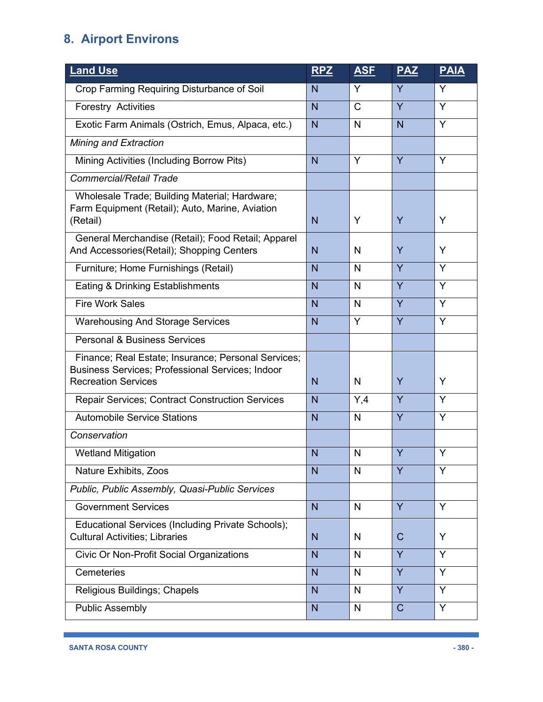| <b>Land Use</b>                                                                                                                              | <b>RPZ</b> | <b>ASF</b>   | <b>PAZ</b>   | <b>PAIA</b> |
|----------------------------------------------------------------------------------------------------------------------------------------------|------------|--------------|--------------|-------------|
| Crop Farming Requiring Disturbance of Soil                                                                                                   | N          | Y            | Y            | Y           |
| <b>Forestry Activities</b>                                                                                                                   | N          | $\mathsf{C}$ | Y            | Y           |
| Exotic Farm Animals (Ostrich, Emus, Alpaca, etc.)                                                                                            | N          | $\mathsf{N}$ | $\mathsf{N}$ | Y           |
| Mining and Extraction                                                                                                                        |            |              |              |             |
| Mining Activities (Including Borrow Pits)                                                                                                    | N          | Y            | Y            | Y           |
| Commercial/Retail Trade                                                                                                                      |            |              |              |             |
| Wholesale Trade; Building Material; Hardware;<br>Farm Equipment (Retail); Auto, Marine, Aviation<br>(Retail)                                 | N          | Y            | Y            | Y           |
| General Merchandise (Retail); Food Retail; Apparel<br>And Accessories(Retail); Shopping Centers                                              | N          | N            | Y            | Y           |
| Furniture; Home Furnishings (Retail)                                                                                                         | N          | $\mathsf{N}$ | Y            | Y           |
| Eating & Drinking Establishments                                                                                                             | N          | $\mathsf{N}$ | Y            | Y           |
| <b>Fire Work Sales</b>                                                                                                                       | N          | N            | Y            | Y           |
| <b>Warehousing And Storage Services</b>                                                                                                      | N          | Y            | Y            | Y           |
| <b>Personal &amp; Business Services</b>                                                                                                      |            |              |              |             |
| Finance; Real Estate; Insurance; Personal Services;<br><b>Business Services; Professional Services; Indoor</b><br><b>Recreation Services</b> | N          | N            | Y            | Y           |
| <b>Repair Services; Contract Construction Services</b>                                                                                       | N          | Y,4          | Y            | Y           |
| <b>Automobile Service Stations</b>                                                                                                           | N          | $\mathsf{N}$ | Y            | Y           |
| Conservation                                                                                                                                 |            |              |              |             |
| <b>Wetland Mitigation</b>                                                                                                                    | N          | N            | Y            | Υ           |
| Nature Exhibits, Zoos                                                                                                                        | N          | N            | Y            | Y           |
| Public, Public Assembly, Quasi-Public Services                                                                                               |            |              |              |             |
| <b>Government Services</b>                                                                                                                   | N          | N            | Y            | Y           |
| Educational Services (Including Private Schools);<br><b>Cultural Activities: Libraries</b>                                                   | N.         | N            | $\mathsf{C}$ | Y           |
| Civic Or Non-Profit Social Organizations                                                                                                     | N          | N            | Y            | Y           |
| Cemeteries                                                                                                                                   | N          | N            | Y            | Y           |
| Religious Buildings; Chapels                                                                                                                 | N          | N            | Y            | Y           |
| Public Assembly                                                                                                                              | N.         | N            | $\mathsf{C}$ | Y           |

ı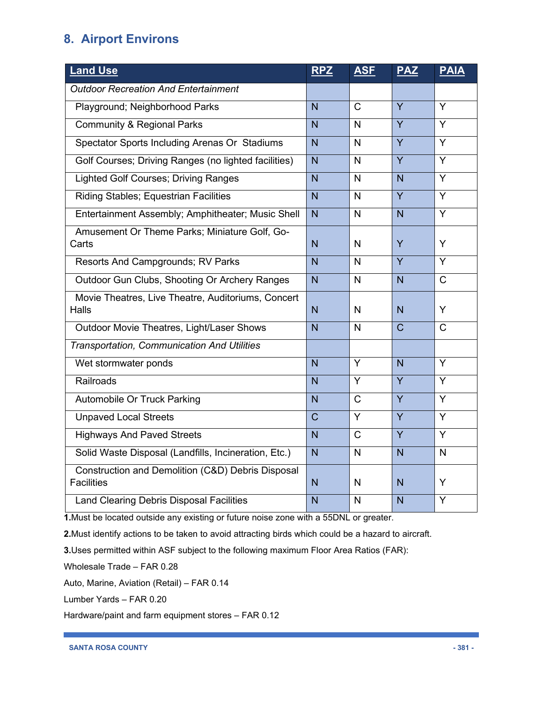| <b>Land Use</b>                                                        | <b>RPZ</b>     | <b>ASF</b>   | <b>PAZ</b>     | <b>PAIA</b>  |
|------------------------------------------------------------------------|----------------|--------------|----------------|--------------|
| <b>Outdoor Recreation And Entertainment</b>                            |                |              |                |              |
| Playground; Neighborhood Parks                                         | $\overline{N}$ | $\mathsf{C}$ | Y              | Y            |
| <b>Community &amp; Regional Parks</b>                                  | $\overline{N}$ | N            | Y              | Y            |
| Spectator Sports Including Arenas Or Stadiums                          | $\overline{N}$ | $\mathsf{N}$ | Y              | Y            |
| Golf Courses; Driving Ranges (no lighted facilities)                   | $\overline{N}$ | $\mathsf{N}$ | Y              | Y            |
| <b>Lighted Golf Courses; Driving Ranges</b>                            | $\overline{N}$ | $\mathsf{N}$ | $\overline{N}$ | Y            |
| <b>Riding Stables; Equestrian Facilities</b>                           | N              | N            | Y              | Y            |
| Entertainment Assembly; Amphitheater; Music Shell                      | $\overline{N}$ | N.           | $\overline{N}$ | Y            |
| Amusement Or Theme Parks; Miniature Golf, Go-<br>Carts                 | N              | N            | Y              | Y            |
| Resorts And Campgrounds; RV Parks                                      | $\overline{N}$ | N            | $\overline{Y}$ | Y            |
| Outdoor Gun Clubs, Shooting Or Archery Ranges                          | N              | N            | N              | $\mathsf{C}$ |
| Movie Theatres, Live Theatre, Auditoriums, Concert<br>Halls            | N              | N            | N              | Y            |
| Outdoor Movie Theatres, Light/Laser Shows                              | $\overline{N}$ | N            | $\mathsf{C}$   | $\mathsf{C}$ |
| Transportation, Communication And Utilities                            |                |              |                |              |
| Wet stormwater ponds                                                   | $\overline{N}$ | Y            | $\overline{N}$ | Y            |
| <b>Railroads</b>                                                       | $\overline{N}$ | Y            | Y              | Y            |
| <b>Automobile Or Truck Parking</b>                                     | $\overline{N}$ | $\mathsf{C}$ | Y              | Y            |
| <b>Unpaved Local Streets</b>                                           | $\overline{C}$ | Y            | Y              | Y            |
| <b>Highways And Paved Streets</b>                                      | $\overline{N}$ | $\mathsf{C}$ | $\overline{Y}$ | Y            |
| Solid Waste Disposal (Landfills, Incineration, Etc.)                   | $\overline{N}$ | $\mathsf{N}$ | N              | $\mathsf{N}$ |
| Construction and Demolition (C&D) Debris Disposal<br><b>Facilities</b> | N              | N            | $\overline{N}$ | Y            |
| <b>Land Clearing Debris Disposal Facilities</b>                        | N              | N            | N              | Y            |

**1.**Must be located outside any existing or future noise zone with a 55DNL or greater.

**2.**Must identify actions to be taken to avoid attracting birds which could be a hazard to aircraft.

**3.**Uses permitted within ASF subject to the following maximum Floor Area Ratios (FAR):

Wholesale Trade – FAR 0.28

Auto, Marine, Aviation (Retail) – FAR 0.14

Lumber Yards – FAR 0.20

Hardware/paint and farm equipment stores – FAR 0.12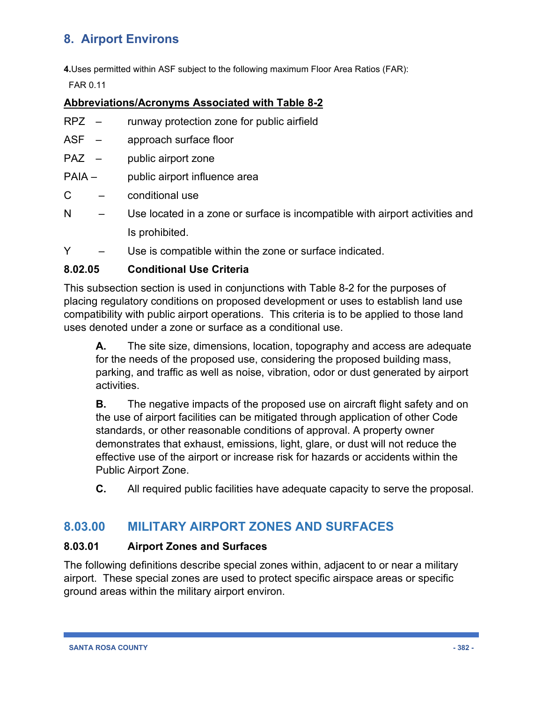**4.**Uses permitted within ASF subject to the following maximum Floor Area Ratios (FAR):

FAR 0.11

### **Abbreviations/Acronyms Associated with Table 8-2**

- RPZ runway protection zone for public airfield
- ASF approach surface floor
- PAZ public airport zone
- PAIA public airport influence area
- C conditional use
- N Use located in a zone or surface is incompatible with airport activities and Is prohibited.
- Y Use is compatible within the zone or surface indicated.

### **8.02.05 Conditional Use Criteria**

This subsection section is used in conjunctions with Table 8-2 for the purposes of placing regulatory conditions on proposed development or uses to establish land use compatibility with public airport operations. This criteria is to be applied to those land uses denoted under a zone or surface as a conditional use.

**A.** The site size, dimensions, location, topography and access are adequate for the needs of the proposed use, considering the proposed building mass, parking, and traffic as well as noise, vibration, odor or dust generated by airport activities.

**B.** The negative impacts of the proposed use on aircraft flight safety and on the use of airport facilities can be mitigated through application of other Code standards, or other reasonable conditions of approval. A property owner demonstrates that exhaust, emissions, light, glare, or dust will not reduce the effective use of the airport or increase risk for hazards or accidents within the Public Airport Zone.

**C.** All required public facilities have adequate capacity to serve the proposal.

### **8.03.00 MILITARY AIRPORT ZONES AND SURFACES**

#### **8.03.01 Airport Zones and Surfaces**

The following definitions describe special zones within, adjacent to or near a military airport. These special zones are used to protect specific airspace areas or specific ground areas within the military airport environ.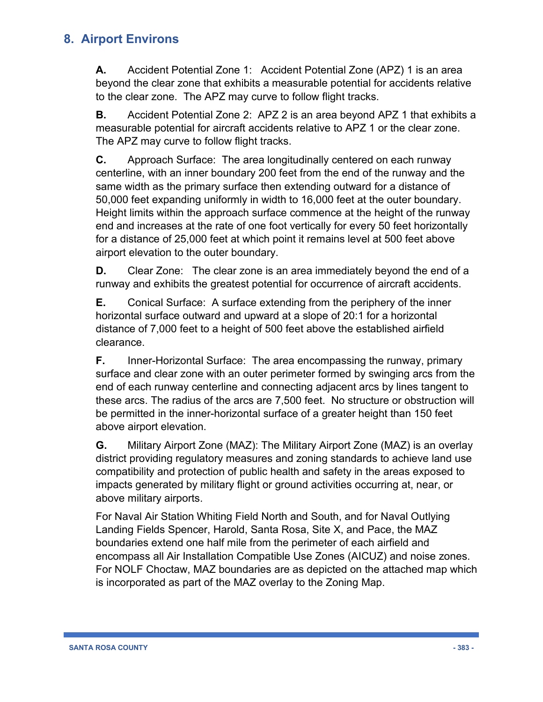**A.** Accident Potential Zone 1: Accident Potential Zone (APZ) 1 is an area beyond the clear zone that exhibits a measurable potential for accidents relative to the clear zone. The APZ may curve to follow flight tracks.

**B.** Accident Potential Zone 2: APZ 2 is an area beyond APZ 1 that exhibits a measurable potential for aircraft accidents relative to APZ 1 or the clear zone. The APZ may curve to follow flight tracks.

**C.** Approach Surface: The area longitudinally centered on each runway centerline, with an inner boundary 200 feet from the end of the runway and the same width as the primary surface then extending outward for a distance of 50,000 feet expanding uniformly in width to 16,000 feet at the outer boundary. Height limits within the approach surface commence at the height of the runway end and increases at the rate of one foot vertically for every 50 feet horizontally for a distance of 25,000 feet at which point it remains level at 500 feet above airport elevation to the outer boundary.

**D.** Clear Zone: The clear zone is an area immediately beyond the end of a runway and exhibits the greatest potential for occurrence of aircraft accidents.

**E.** Conical Surface: A surface extending from the periphery of the inner horizontal surface outward and upward at a slope of 20:1 for a horizontal distance of 7,000 feet to a height of 500 feet above the established airfield clearance.

**F.** Inner-Horizontal Surface: The area encompassing the runway, primary surface and clear zone with an outer perimeter formed by swinging arcs from the end of each runway centerline and connecting adjacent arcs by lines tangent to these arcs. The radius of the arcs are 7,500 feet. No structure or obstruction will be permitted in the inner-horizontal surface of a greater height than 150 feet above airport elevation.

**G.** Military Airport Zone (MAZ): The Military Airport Zone (MAZ) is an overlay district providing regulatory measures and zoning standards to achieve land use compatibility and protection of public health and safety in the areas exposed to impacts generated by military flight or ground activities occurring at, near, or above military airports.

For Naval Air Station Whiting Field North and South, and for Naval Outlying Landing Fields Spencer, Harold, Santa Rosa, Site X, and Pace, the MAZ boundaries extend one half mile from the perimeter of each airfield and encompass all Air Installation Compatible Use Zones (AICUZ) and noise zones. For NOLF Choctaw, MAZ boundaries are as depicted on the attached map which is incorporated as part of the MAZ overlay to the Zoning Map.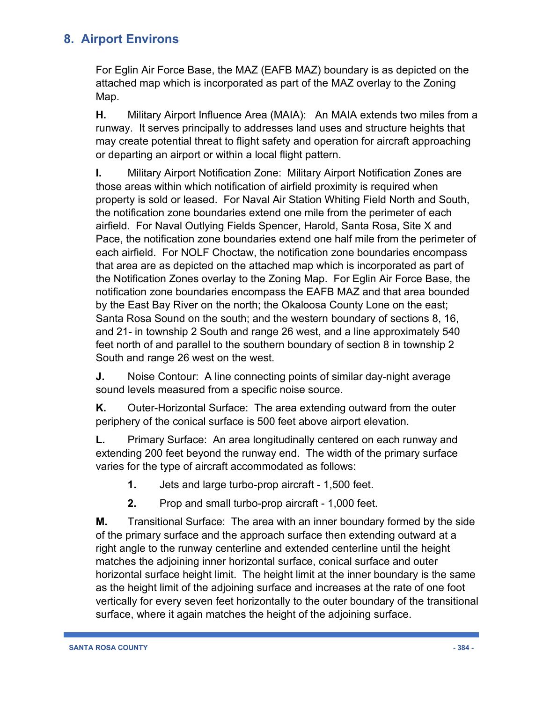For Eglin Air Force Base, the MAZ (EAFB MAZ) boundary is as depicted on the attached map which is incorporated as part of the MAZ overlay to the Zoning Map.

**H.** Military Airport Influence Area (MAIA): An MAIA extends two miles from a runway. It serves principally to addresses land uses and structure heights that may create potential threat to flight safety and operation for aircraft approaching or departing an airport or within a local flight pattern.

**I.** Military Airport Notification Zone: Military Airport Notification Zones are those areas within which notification of airfield proximity is required when property is sold or leased. For Naval Air Station Whiting Field North and South, the notification zone boundaries extend one mile from the perimeter of each airfield. For Naval Outlying Fields Spencer, Harold, Santa Rosa, Site X and Pace, the notification zone boundaries extend one half mile from the perimeter of each airfield. For NOLF Choctaw, the notification zone boundaries encompass that area are as depicted on the attached map which is incorporated as part of the Notification Zones overlay to the Zoning Map. For Eglin Air Force Base, the notification zone boundaries encompass the EAFB MAZ and that area bounded by the East Bay River on the north; the Okaloosa County Lone on the east; Santa Rosa Sound on the south; and the western boundary of sections 8, 16, and 21- in township 2 South and range 26 west, and a line approximately 540 feet north of and parallel to the southern boundary of section 8 in township 2 South and range 26 west on the west.

**J.** Noise Contour: A line connecting points of similar day-night average sound levels measured from a specific noise source.

**K.** Outer-Horizontal Surface: The area extending outward from the outer periphery of the conical surface is 500 feet above airport elevation.

**L.** Primary Surface: An area longitudinally centered on each runway and extending 200 feet beyond the runway end. The width of the primary surface varies for the type of aircraft accommodated as follows:

- **1.** Jets and large turbo-prop aircraft 1,500 feet.
- **2.** Prop and small turbo-prop aircraft 1,000 feet.

**M.** Transitional Surface: The area with an inner boundary formed by the side of the primary surface and the approach surface then extending outward at a right angle to the runway centerline and extended centerline until the height matches the adjoining inner horizontal surface, conical surface and outer horizontal surface height limit. The height limit at the inner boundary is the same as the height limit of the adjoining surface and increases at the rate of one foot vertically for every seven feet horizontally to the outer boundary of the transitional surface, where it again matches the height of the adjoining surface.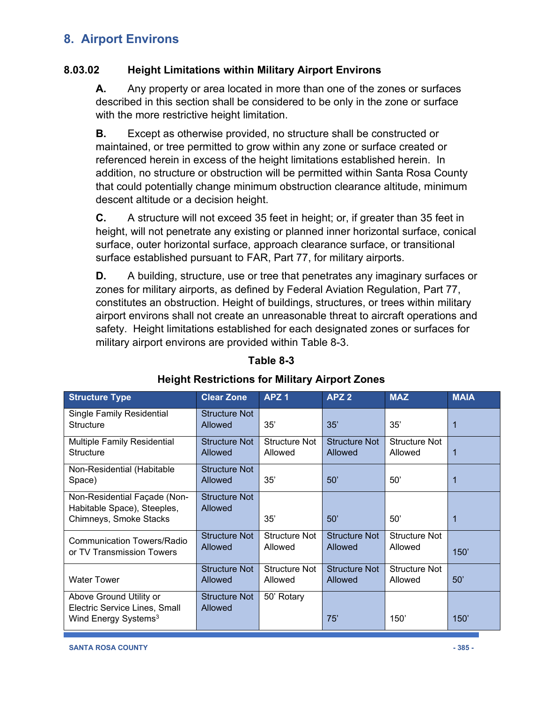### **8.03.02 Height Limitations within Military Airport Environs**

**A.** Any property or area located in more than one of the zones or surfaces described in this section shall be considered to be only in the zone or surface with the more restrictive height limitation.

**B.** Except as otherwise provided, no structure shall be constructed or maintained, or tree permitted to grow within any zone or surface created or referenced herein in excess of the height limitations established herein. In addition, no structure or obstruction will be permitted within Santa Rosa County that could potentially change minimum obstruction clearance altitude, minimum descent altitude or a decision height.

**C.** A structure will not exceed 35 feet in height; or, if greater than 35 feet in height, will not penetrate any existing or planned inner horizontal surface, conical surface, outer horizontal surface, approach clearance surface, or transitional surface established pursuant to FAR, Part 77, for military airports.

**D.** A building, structure, use or tree that penetrates any imaginary surfaces or zones for military airports, as defined by Federal Aviation Regulation, Part 77, constitutes an obstruction. Height of buildings, structures, or trees within military airport environs shall not create an unreasonable threat to aircraft operations and safety. Height limitations established for each designated zones or surfaces for military airport environs are provided within Table 8-3.

| <b>Structure Type</b>                                                                        | <b>Clear Zone</b>                      | APZ <sub>1</sub>                | APZ <sub>2</sub>                | <b>MAZ</b>                      | <b>MAIA</b> |
|----------------------------------------------------------------------------------------------|----------------------------------------|---------------------------------|---------------------------------|---------------------------------|-------------|
| <b>Single Family Residential</b><br><b>Structure</b>                                         | Structure Not<br>Allowed               | 35'                             | 35'                             | 35'                             | 1           |
| <b>Multiple Family Residential</b><br><b>Structure</b>                                       | <b>Structure Not</b><br><b>Allowed</b> | Structure Not<br>Allowed        | Structure Not<br>Allowed        | Structure Not<br>Allowed        | 1           |
| Non-Residential (Habitable<br>Space)                                                         | <b>Structure Not</b><br>Allowed        | 35'                             | 50'                             | 50'                             | $\mathbf 1$ |
| Non-Residential Façade (Non-<br>Habitable Space), Steeples,<br>Chimneys, Smoke Stacks        | <b>Structure Not</b><br><b>Allowed</b> | 35'                             | 50'                             | 50'                             | 1           |
| <b>Communication Towers/Radio</b><br>or TV Transmission Towers                               | Structure Not<br>Allowed               | <b>Structure Not</b><br>Allowed | Structure Not<br>Allowed        | <b>Structure Not</b><br>Allowed | 150'        |
| <b>Water Tower</b>                                                                           | <b>Structure Not</b><br><b>Allowed</b> | <b>Structure Not</b><br>Allowed | <b>Structure Not</b><br>Allowed | <b>Structure Not</b><br>Allowed | 50'         |
| Above Ground Utility or<br>Electric Service Lines, Small<br>Wind Energy Systems <sup>3</sup> | Structure Not<br><b>Allowed</b>        | 50' Rotary                      | 75'                             | 150'                            | 150'        |

### **Table 8-3**

### **Height Restrictions for Military Airport Zones**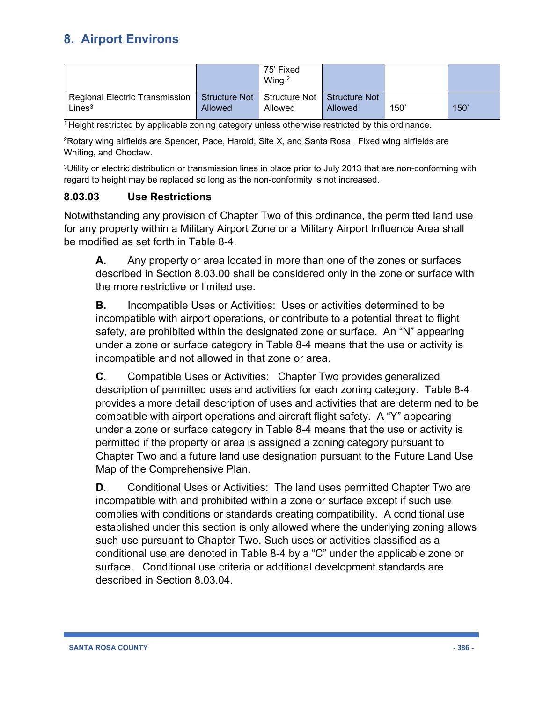|                                |         | 75' Fixed<br>Wing $2$                         |         |      |      |
|--------------------------------|---------|-----------------------------------------------|---------|------|------|
| Regional Electric Transmission |         | Structure Not   Structure Not   Structure Not |         |      |      |
| Lines <sup>3</sup>             | Allowed | Allowed                                       | Allowed | 150' | 150' |

1 Height restricted by applicable zoning category unless otherwise restricted by this ordinance.

2Rotary wing airfields are Spencer, Pace, Harold, Site X, and Santa Rosa. Fixed wing airfields are Whiting, and Choctaw.

3Utility or electric distribution or transmission lines in place prior to July 2013 that are non-conforming with regard to height may be replaced so long as the non-conformity is not increased.

### **8.03.03 Use Restrictions**

Notwithstanding any provision of Chapter Two of this ordinance, the permitted land use for any property within a Military Airport Zone or a Military Airport Influence Area shall be modified as set forth in Table 8-4.

**A.** Any property or area located in more than one of the zones or surfaces described in Section 8.03.00 shall be considered only in the zone or surface with the more restrictive or limited use.

**B.** Incompatible Uses or Activities: Uses or activities determined to be incompatible with airport operations, or contribute to a potential threat to flight safety, are prohibited within the designated zone or surface. An "N" appearing under a zone or surface category in Table 8-4 means that the use or activity is incompatible and not allowed in that zone or area.

**C**. Compatible Uses or Activities: Chapter Two provides generalized description of permitted uses and activities for each zoning category. Table 8-4 provides a more detail description of uses and activities that are determined to be compatible with airport operations and aircraft flight safety. A "Y" appearing under a zone or surface category in Table 8-4 means that the use or activity is permitted if the property or area is assigned a zoning category pursuant to Chapter Two and a future land use designation pursuant to the Future Land Use Map of the Comprehensive Plan.

**D**. Conditional Uses or Activities: The land uses permitted Chapter Two are incompatible with and prohibited within a zone or surface except if such use complies with conditions or standards creating compatibility. A conditional use established under this section is only allowed where the underlying zoning allows such use pursuant to Chapter Two. Such uses or activities classified as a conditional use are denoted in Table 8-4 by a "C" under the applicable zone or surface. Conditional use criteria or additional development standards are described in Section 8.03.04.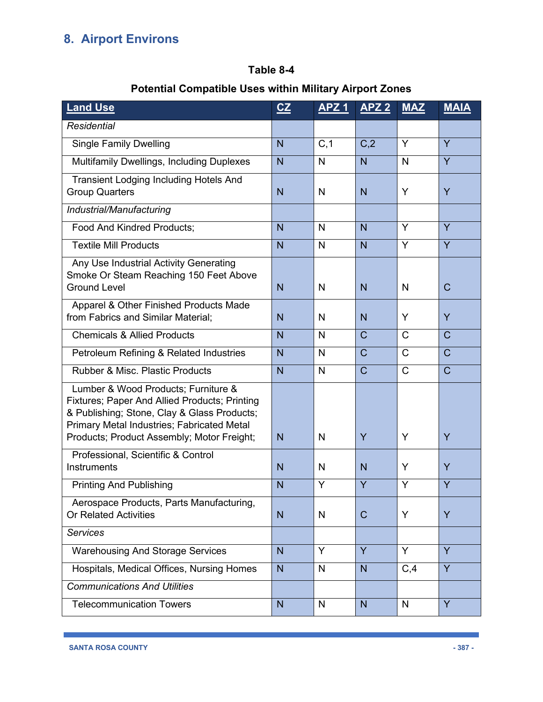### **Table 8-4**

## **Potential Compatible Uses within Military Airport Zones**

| <b>Land Use</b>                                                                                                                                                                                                                        | CZ             | APZ <sub>1</sub> | <b>APZ 2</b>     | <b>MAZ</b>   | <b>MAIA</b>    |
|----------------------------------------------------------------------------------------------------------------------------------------------------------------------------------------------------------------------------------------|----------------|------------------|------------------|--------------|----------------|
| <b>Residential</b>                                                                                                                                                                                                                     |                |                  |                  |              |                |
| <b>Single Family Dwelling</b>                                                                                                                                                                                                          | $\overline{N}$ | C, 1             | C <sub>1</sub> 2 | Y            | Y              |
| <b>Multifamily Dwellings, Including Duplexes</b>                                                                                                                                                                                       | N              | N                | N                | N            | Y              |
| <b>Transient Lodging Including Hotels And</b><br><b>Group Quarters</b>                                                                                                                                                                 | N              | N                | N                | Y            | Y              |
| Industrial/Manufacturing                                                                                                                                                                                                               |                |                  |                  |              |                |
| Food And Kindred Products;                                                                                                                                                                                                             | N              | N                | N                | Y            | Y              |
| <b>Textile Mill Products</b>                                                                                                                                                                                                           | $\overline{N}$ | N                | N                | Y            | Y              |
| Any Use Industrial Activity Generating<br>Smoke Or Steam Reaching 150 Feet Above<br><b>Ground Level</b>                                                                                                                                | N              | N                | N                | N            | $\mathsf{C}$   |
| Apparel & Other Finished Products Made<br>from Fabrics and Similar Material;                                                                                                                                                           | N              | N                | N                | Y            | Y              |
| <b>Chemicals &amp; Allied Products</b>                                                                                                                                                                                                 | N              | N                | $\mathsf{C}$     | $\mathsf{C}$ | $\overline{C}$ |
| Petroleum Refining & Related Industries                                                                                                                                                                                                | $\overline{N}$ | N                | $\mathcal{C}$    | $\mathsf{C}$ | $\mathsf{C}$   |
| <b>Rubber &amp; Misc. Plastic Products</b>                                                                                                                                                                                             | N              | $\mathsf{N}$     | $\mathsf{C}$     | $\mathsf{C}$ | $\overline{C}$ |
| Lumber & Wood Products; Furniture &<br><b>Fixtures; Paper And Allied Products; Printing</b><br>& Publishing; Stone, Clay & Glass Products;<br>Primary Metal Industries; Fabricated Metal<br>Products; Product Assembly; Motor Freight; | N              | N                | Y                | Y            | Y              |
| Professional, Scientific & Control<br>Instruments                                                                                                                                                                                      | $\overline{N}$ | N                | N                | Y            | Y              |
| <b>Printing And Publishing</b>                                                                                                                                                                                                         | N              | Y                | Y                | Y            | Y              |
| Aerospace Products, Parts Manufacturing,<br><b>Or Related Activities</b>                                                                                                                                                               | N              | N                | $\mathsf{C}$     | Y            | Y              |
| <b>Services</b>                                                                                                                                                                                                                        |                |                  |                  |              |                |
| <b>Warehousing And Storage Services</b>                                                                                                                                                                                                | N <sub>1</sub> | Y                | Y                | Y            | Y              |
| Hospitals, Medical Offices, Nursing Homes                                                                                                                                                                                              | N <sub>1</sub> | N                | N                | C, 4         | Y              |
| <b>Communications And Utilities</b>                                                                                                                                                                                                    |                |                  |                  |              |                |
| <b>Telecommunication Towers</b>                                                                                                                                                                                                        | N              | N                | N                | N            | Y              |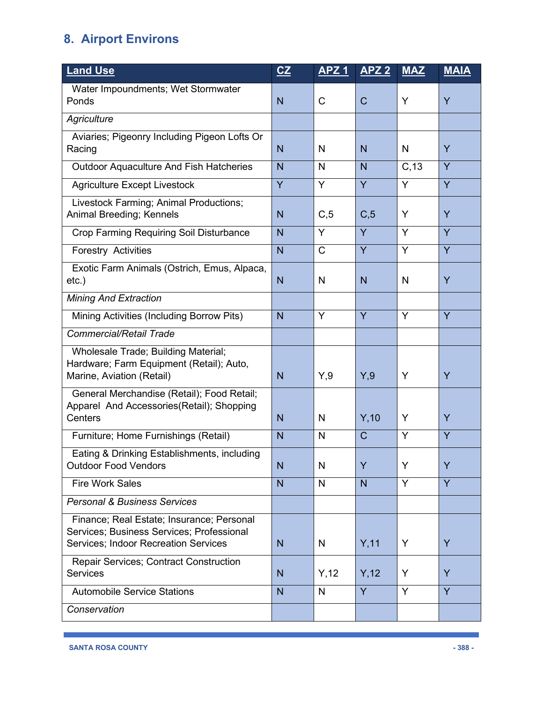| <b>Land Use</b>                                                                                                                | CZ             | <b>APZ1</b>  | <b>APZ 2</b> | <b>MAZ</b> | <b>MAIA</b> |
|--------------------------------------------------------------------------------------------------------------------------------|----------------|--------------|--------------|------------|-------------|
| Water Impoundments; Wet Stormwater<br>Ponds                                                                                    | N              | $\mathsf{C}$ | $\mathsf{C}$ | Y          | Y           |
| Agriculture                                                                                                                    |                |              |              |            |             |
| Aviaries; Pigeonry Including Pigeon Lofts Or                                                                                   |                |              |              |            |             |
| Racing                                                                                                                         | N              | N            | N            | N          | Y           |
| <b>Outdoor Aquaculture And Fish Hatcheries</b>                                                                                 | N              | N            | N            | C, 13      | Y           |
| <b>Agriculture Except Livestock</b>                                                                                            | Y              | Y            | Y            | Y          | Y           |
| Livestock Farming; Animal Productions;<br>Animal Breeding; Kennels                                                             | N              | C, 5         | C, 5         | Y          | Y           |
| Crop Farming Requiring Soil Disturbance                                                                                        | N              | Y            | Y            | Y          | Y           |
| <b>Forestry Activities</b>                                                                                                     | $\overline{N}$ | C            | Y            | Y          | Y           |
| Exotic Farm Animals (Ostrich, Emus, Alpaca,<br>$etc.$ )                                                                        | N              | N            | N            | N          | Y           |
| <b>Mining And Extraction</b>                                                                                                   |                |              |              |            |             |
| Mining Activities (Including Borrow Pits)                                                                                      | N              | Y            | Y            | Y          | Y           |
| <b>Commercial/Retail Trade</b>                                                                                                 |                |              |              |            |             |
| Wholesale Trade; Building Material;<br>Hardware; Farm Equipment (Retail); Auto,<br>Marine, Aviation (Retail)                   | N              | Y,9          | Y,9          | Y          | Ÿ           |
| General Merchandise (Retail); Food Retail;<br>Apparel And Accessories(Retail); Shopping<br>Centers                             | N              | N            | Y, 10        | Y          | Ÿ           |
| Furniture; Home Furnishings (Retail)                                                                                           | N              | N            | $\mathsf{C}$ | Y          | Y           |
| Eating & Drinking Establishments, including<br><b>Outdoor Food Vendors</b>                                                     | N              | N            | Y            | Y          | Y           |
| <b>Fire Work Sales</b>                                                                                                         | N              | N            | N            | Y          | Y           |
| <b>Personal &amp; Business Services</b>                                                                                        |                |              |              |            |             |
| Finance; Real Estate; Insurance; Personal<br>Services; Business Services; Professional<br>Services; Indoor Recreation Services | N              | N            | Y,11         | Y          | Y           |
| <b>Repair Services; Contract Construction</b><br><b>Services</b>                                                               | $\overline{N}$ | Y, 12        | Y, 12        | Y          | Y           |
| <b>Automobile Service Stations</b>                                                                                             | N              | N            | Y            | Y          | Y           |
| Conservation                                                                                                                   |                |              |              |            |             |

ı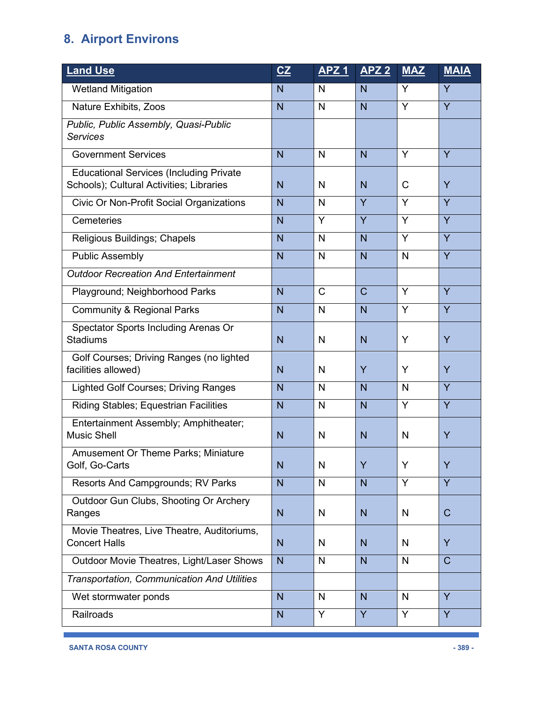| <b>Land Use</b>                                                                            | CZ             | <u>APZ 1</u> | <b>APZ 2</b>   | <b>MAZ</b>   | <b>MAIA</b>  |
|--------------------------------------------------------------------------------------------|----------------|--------------|----------------|--------------|--------------|
| <b>Wetland Mitigation</b>                                                                  | N              | N            | N              | Y            | Y            |
| Nature Exhibits, Zoos                                                                      | N              | N            | N              | Y            | Y            |
| Public, Public Assembly, Quasi-Public<br><b>Services</b>                                   |                |              |                |              |              |
| <b>Government Services</b>                                                                 | $\overline{N}$ | N            | $\overline{N}$ | Y            | Y            |
| <b>Educational Services (Including Private</b><br>Schools); Cultural Activities; Libraries | N              | N            | N              | $\mathsf{C}$ | Y            |
| <b>Civic Or Non-Profit Social Organizations</b>                                            | N              | N            | Y              | Y            | Y            |
| Cemeteries                                                                                 | N              | Y            | Y              | Y            | Y            |
| Religious Buildings; Chapels                                                               | N              | N            | $\overline{N}$ | Y            | Y            |
| <b>Public Assembly</b>                                                                     | N              | N            | N              | N            | Y            |
| <b>Outdoor Recreation And Entertainment</b>                                                |                |              |                |              |              |
| Playground; Neighborhood Parks                                                             | $\overline{N}$ | $\mathsf{C}$ | $\mathsf{C}$   | Y            | Y            |
| <b>Community &amp; Regional Parks</b>                                                      | N              | N            | N              | Y            | Y            |
| Spectator Sports Including Arenas Or<br><b>Stadiums</b>                                    | N              | N            | N              | Y            | Y            |
| Golf Courses; Driving Ranges (no lighted<br>facilities allowed)                            | N              | N            | Y              | Y            | Y            |
| <b>Lighted Golf Courses; Driving Ranges</b>                                                | N              | N            | N              | $\mathsf{N}$ | Y            |
| <b>Riding Stables; Equestrian Facilities</b>                                               | N              | N            | N              | Y            | Y            |
| Entertainment Assembly; Amphitheater;<br><b>Music Shell</b>                                | N              | N            | N              | $\mathsf{N}$ | Y            |
| <b>Amusement Or Theme Parks; Miniature</b><br>Golf, Go-Carts                               | N              | N            | Ÿ              | Y            | Y            |
| Resorts And Campgrounds; RV Parks                                                          | N              | N            | N              | Y            | Y            |
| Outdoor Gun Clubs, Shooting Or Archery<br>Ranges                                           | N              | N            | N              | N            | $\mathsf{C}$ |
| Movie Theatres, Live Theatre, Auditoriums,<br><b>Concert Halls</b>                         | N              | N            | N              | N            | Y            |
| Outdoor Movie Theatres, Light/Laser Shows                                                  | N              | N            | N              | N            | $\mathsf{C}$ |
| Transportation, Communication And Utilities                                                |                |              |                |              |              |
| Wet stormwater ponds                                                                       | N              | N            | N              | $\mathsf{N}$ | Y            |
| Railroads                                                                                  | N              | Y            | Y              | Y            | Y            |

ı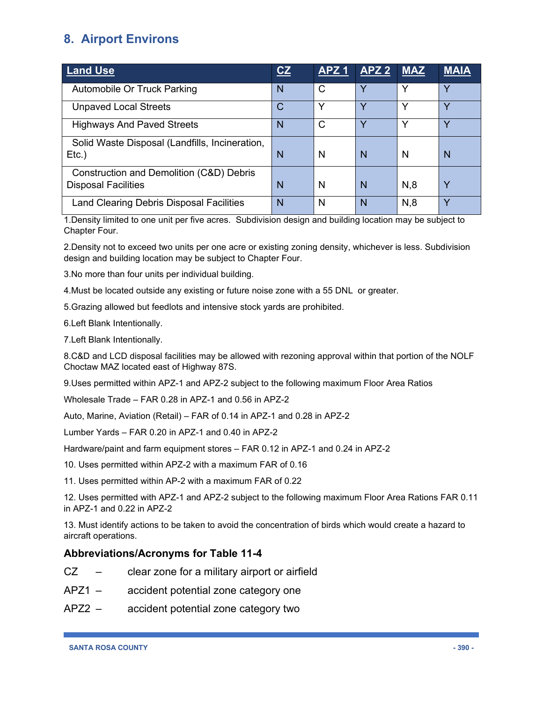| <b>Land Use</b>                                                        | CZ | APZ1 | APZ <sub>2</sub> | <b>MAZ</b>   | <b>MAIA</b> |
|------------------------------------------------------------------------|----|------|------------------|--------------|-------------|
| Automobile Or Truck Parking                                            | N  | C    | V                |              | ν           |
| <b>Unpaved Local Streets</b>                                           | C  | Υ    | $\checkmark$     | $\checkmark$ | ν           |
| <b>Highways And Paved Streets</b>                                      | N  | C    | $\checkmark$     | $\checkmark$ | ν           |
| Solid Waste Disposal (Landfills, Incineration,<br>$Etc.$ )             | N  | N    | N                | N            | N           |
| Construction and Demolition (C&D) Debris<br><b>Disposal Facilities</b> | N  | N    | N                | N,8          | Y           |
| Land Clearing Debris Disposal Facilities                               | N  | N    | N                | N,8          |             |

1.Density limited to one unit per five acres. Subdivision design and building location may be subject to Chapter Four.

2.Density not to exceed two units per one acre or existing zoning density, whichever is less. Subdivision design and building location may be subject to Chapter Four.

3.No more than four units per individual building.

4.Must be located outside any existing or future noise zone with a 55 DNL or greater.

5.Grazing allowed but feedlots and intensive stock yards are prohibited.

6.Left Blank Intentionally.

7.Left Blank Intentionally.

8.C&D and LCD disposal facilities may be allowed with rezoning approval within that portion of the NOLF Choctaw MAZ located east of Highway 87S.

9.Uses permitted within APZ-1 and APZ-2 subject to the following maximum Floor Area Ratios

Wholesale Trade – FAR 0.28 in APZ-1 and 0.56 in APZ-2

Auto, Marine, Aviation (Retail) – FAR of 0.14 in APZ-1 and 0.28 in APZ-2

Lumber Yards – FAR 0.20 in APZ-1 and 0.40 in APZ-2

Hardware/paint and farm equipment stores – FAR 0.12 in APZ-1 and 0.24 in APZ-2

10. Uses permitted within APZ-2 with a maximum FAR of 0.16

11. Uses permitted within AP-2 with a maximum FAR of 0.22

12. Uses permitted with APZ-1 and APZ-2 subject to the following maximum Floor Area Rations FAR 0.11 in APZ-1 and 0.22 in APZ-2

13. Must identify actions to be taken to avoid the concentration of birds which would create a hazard to aircraft operations.

#### **Abbreviations/Acronyms for Table 11-4**

- CZ clear zone for a military airport or airfield
- APZ1 accident potential zone category one
- APZ2 accident potential zone category two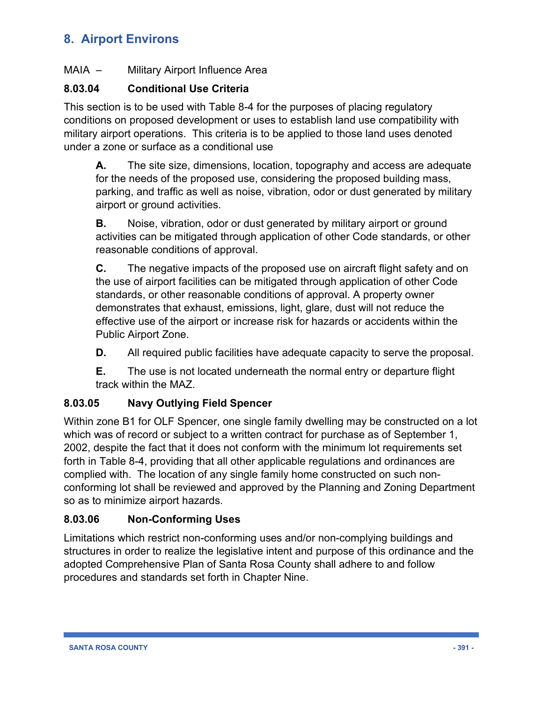### MAIA – Military Airport Influence Area

### **8.03.04 Conditional Use Criteria**

This section is to be used with Table 8-4 for the purposes of placing regulatory conditions on proposed development or uses to establish land use compatibility with military airport operations. This criteria is to be applied to those land uses denoted under a zone or surface as a conditional use

**A.** The site size, dimensions, location, topography and access are adequate for the needs of the proposed use, considering the proposed building mass, parking, and traffic as well as noise, vibration, odor or dust generated by military airport or ground activities.

**B.** Noise, vibration, odor or dust generated by military airport or ground activities can be mitigated through application of other Code standards, or other reasonable conditions of approval.

**C.** The negative impacts of the proposed use on aircraft flight safety and on the use of airport facilities can be mitigated through application of other Code standards, or other reasonable conditions of approval. A property owner demonstrates that exhaust, emissions, light, glare, dust will not reduce the effective use of the airport or increase risk for hazards or accidents within the Public Airport Zone.

**D.** All required public facilities have adequate capacity to serve the proposal.

**E.** The use is not located underneath the normal entry or departure flight track within the MAZ.

### **8.03.05 Navy Outlying Field Spencer**

Within zone B1 for OLF Spencer, one single family dwelling may be constructed on a lot which was of record or subject to a written contract for purchase as of September 1, 2002, despite the fact that it does not conform with the minimum lot requirements set forth in Table 8-4, providing that all other applicable regulations and ordinances are complied with. The location of any single family home constructed on such nonconforming lot shall be reviewed and approved by the Planning and Zoning Department so as to minimize airport hazards.

### **8.03.06 Non-Conforming Uses**

Limitations which restrict non-conforming uses and/or non-complying buildings and structures in order to realize the legislative intent and purpose of this ordinance and the adopted Comprehensive Plan of Santa Rosa County shall adhere to and follow procedures and standards set forth in Chapter Nine.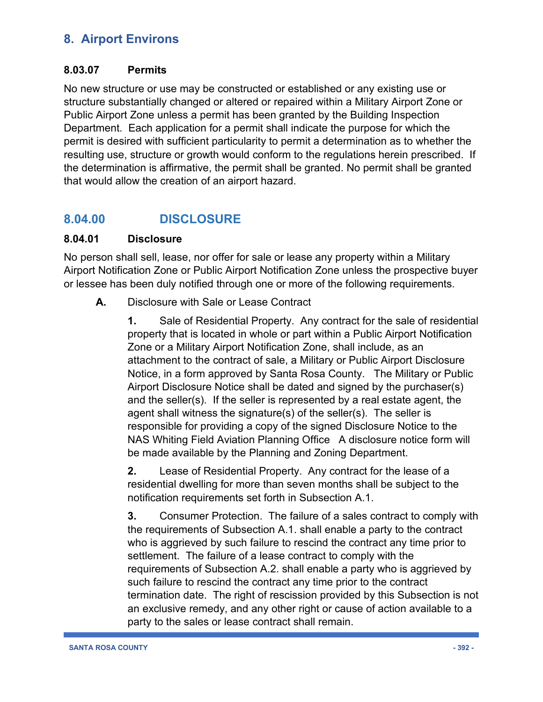### **8.03.07 Permits**

No new structure or use may be constructed or established or any existing use or structure substantially changed or altered or repaired within a Military Airport Zone or Public Airport Zone unless a permit has been granted by the Building Inspection Department. Each application for a permit shall indicate the purpose for which the permit is desired with sufficient particularity to permit a determination as to whether the resulting use, structure or growth would conform to the regulations herein prescribed. If the determination is affirmative, the permit shall be granted. No permit shall be granted that would allow the creation of an airport hazard.

## **8.04.00 DISCLOSURE**

### **8.04.01 Disclosure**

No person shall sell, lease, nor offer for sale or lease any property within a Military Airport Notification Zone or Public Airport Notification Zone unless the prospective buyer or lessee has been duly notified through one or more of the following requirements.

**A.** Disclosure with Sale or Lease Contract

**1.** Sale of Residential Property. Any contract for the sale of residential property that is located in whole or part within a Public Airport Notification Zone or a Military Airport Notification Zone, shall include, as an attachment to the contract of sale, a Military or Public Airport Disclosure Notice, in a form approved by Santa Rosa County. The Military or Public Airport Disclosure Notice shall be dated and signed by the purchaser(s) and the seller(s). If the seller is represented by a real estate agent, the agent shall witness the signature(s) of the seller(s). The seller is responsible for providing a copy of the signed Disclosure Notice to the NAS Whiting Field Aviation Planning Office A disclosure notice form will be made available by the Planning and Zoning Department.

**2.** Lease of Residential Property. Any contract for the lease of a residential dwelling for more than seven months shall be subject to the notification requirements set forth in Subsection A.1.

**3.** Consumer Protection. The failure of a sales contract to comply with the requirements of Subsection A.1. shall enable a party to the contract who is aggrieved by such failure to rescind the contract any time prior to settlement. The failure of a lease contract to comply with the requirements of Subsection A.2. shall enable a party who is aggrieved by such failure to rescind the contract any time prior to the contract termination date. The right of rescission provided by this Subsection is not an exclusive remedy, and any other right or cause of action available to a party to the sales or lease contract shall remain.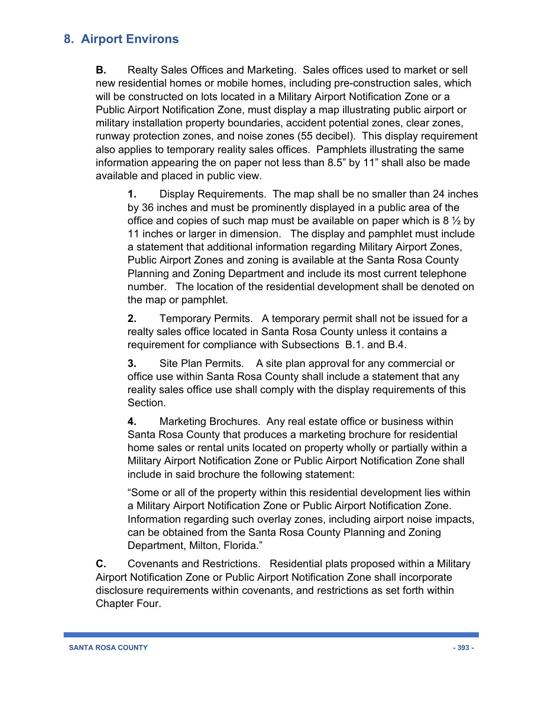**B.** Realty Sales Offices and Marketing. Sales offices used to market or sell new residential homes or mobile homes, including pre-construction sales, which will be constructed on lots located in a Military Airport Notification Zone or a Public Airport Notification Zone, must display a map illustrating public airport or military installation property boundaries, accident potential zones, clear zones, runway protection zones, and noise zones (55 decibel). This display requirement also applies to temporary reality sales offices. Pamphlets illustrating the same information appearing the on paper not less than 8.5" by 11" shall also be made available and placed in public view.

**1.** Display Requirements. The map shall be no smaller than 24 inches by 36 inches and must be prominently displayed in a public area of the office and copies of such map must be available on paper which is 8  $\frac{1}{2}$  by 11 inches or larger in dimension. The display and pamphlet must include a statement that additional information regarding Military Airport Zones, Public Airport Zones and zoning is available at the Santa Rosa County Planning and Zoning Department and include its most current telephone number. The location of the residential development shall be denoted on the map or pamphlet.

**2.** Temporary Permits. A temporary permit shall not be issued for a realty sales office located in Santa Rosa County unless it contains a requirement for compliance with Subsections B.1. and B.4.

**3.** Site Plan Permits. A site plan approval for any commercial or office use within Santa Rosa County shall include a statement that any reality sales office use shall comply with the display requirements of this Section.

**4.** Marketing Brochures. Any real estate office or business within Santa Rosa County that produces a marketing brochure for residential home sales or rental units located on property wholly or partially within a Military Airport Notification Zone or Public Airport Notification Zone shall include in said brochure the following statement:

"Some or all of the property within this residential development lies within a Military Airport Notification Zone or Public Airport Notification Zone. Information regarding such overlay zones, including airport noise impacts, can be obtained from the Santa Rosa County Planning and Zoning Department, Milton, Florida."

**C.** Covenants and Restrictions. Residential plats proposed within a Military Airport Notification Zone or Public Airport Notification Zone shall incorporate disclosure requirements within covenants, and restrictions as set forth within Chapter Four.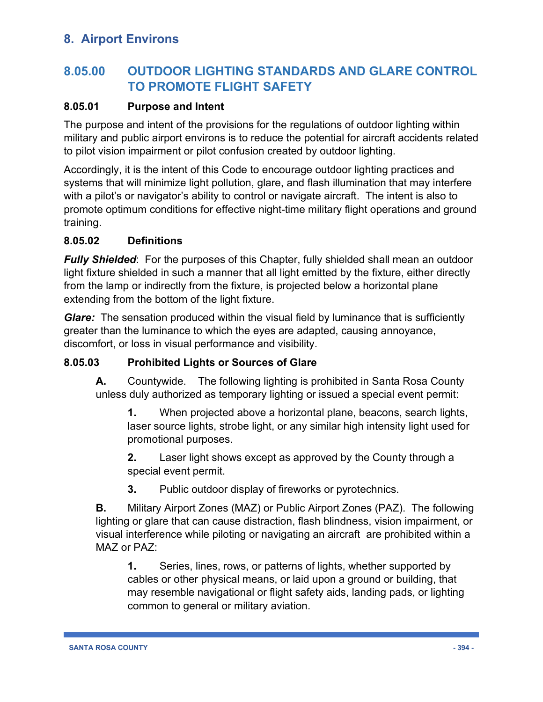# **8.05.00 OUTDOOR LIGHTING STANDARDS AND GLARE CONTROL TO PROMOTE FLIGHT SAFETY**

### **8.05.01 Purpose and Intent**

The purpose and intent of the provisions for the regulations of outdoor lighting within military and public airport environs is to reduce the potential for aircraft accidents related to pilot vision impairment or pilot confusion created by outdoor lighting.

Accordingly, it is the intent of this Code to encourage outdoor lighting practices and systems that will minimize light pollution, glare, and flash illumination that may interfere with a pilot's or navigator's ability to control or navigate aircraft. The intent is also to promote optimum conditions for effective night-time military flight operations and ground training.

### **8.05.02 Definitions**

*Fully Shielded:* For the purposes of this Chapter, fully shielded shall mean an outdoor light fixture shielded in such a manner that all light emitted by the fixture, either directly from the lamp or indirectly from the fixture, is projected below a horizontal plane extending from the bottom of the light fixture.

*Glare:* The sensation produced within the visual field by luminance that is sufficiently greater than the luminance to which the eyes are adapted, causing annoyance, discomfort, or loss in visual performance and visibility.

### **8.05.03 Prohibited Lights or Sources of Glare**

**A.** Countywide. The following lighting is prohibited in Santa Rosa County unless duly authorized as temporary lighting or issued a special event permit:

**1.** When projected above a horizontal plane, beacons, search lights, laser source lights, strobe light, or any similar high intensity light used for promotional purposes.

**2.** Laser light shows except as approved by the County through a special event permit.

**3.** Public outdoor display of fireworks or pyrotechnics.

**B.** Military Airport Zones (MAZ) or Public Airport Zones (PAZ). The following lighting or glare that can cause distraction, flash blindness, vision impairment, or visual interference while piloting or navigating an aircraft are prohibited within a MAZ or PAZ:

**1.** Series, lines, rows, or patterns of lights, whether supported by cables or other physical means, or laid upon a ground or building, that may resemble navigational or flight safety aids, landing pads, or lighting common to general or military aviation.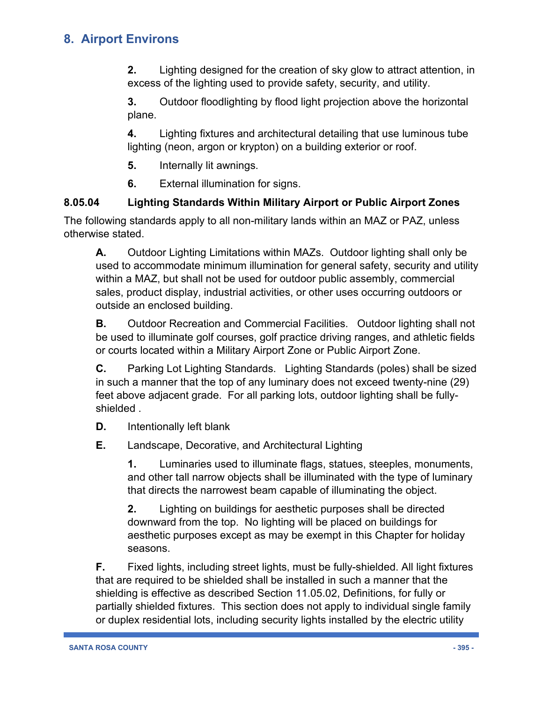**2.** Lighting designed for the creation of sky glow to attract attention, in excess of the lighting used to provide safety, security, and utility.

**3.** Outdoor floodlighting by flood light projection above the horizontal plane.

**4.** Lighting fixtures and architectural detailing that use luminous tube lighting (neon, argon or krypton) on a building exterior or roof.

- **5.** Internally lit awnings.
- **6.** External illumination for signs.

### **8.05.04 Lighting Standards Within Military Airport or Public Airport Zones**

The following standards apply to all non-military lands within an MAZ or PAZ, unless otherwise stated.

**A.** Outdoor Lighting Limitations within MAZs. Outdoor lighting shall only be used to accommodate minimum illumination for general safety, security and utility within a MAZ, but shall not be used for outdoor public assembly, commercial sales, product display, industrial activities, or other uses occurring outdoors or outside an enclosed building.

**B.** Outdoor Recreation and Commercial Facilities. Outdoor lighting shall not be used to illuminate golf courses, golf practice driving ranges, and athletic fields or courts located within a Military Airport Zone or Public Airport Zone.

**C.** Parking Lot Lighting Standards. Lighting Standards (poles) shall be sized in such a manner that the top of any luminary does not exceed twenty-nine (29) feet above adjacent grade. For all parking lots, outdoor lighting shall be fullyshielded .

**D.** Intentionally left blank

**E.** Landscape, Decorative, and Architectural Lighting

**1.** Luminaries used to illuminate flags, statues, steeples, monuments, and other tall narrow objects shall be illuminated with the type of luminary that directs the narrowest beam capable of illuminating the object.

**2.** Lighting on buildings for aesthetic purposes shall be directed downward from the top. No lighting will be placed on buildings for aesthetic purposes except as may be exempt in this Chapter for holiday seasons.

**F.** Fixed lights, including street lights, must be fully-shielded. All light fixtures that are required to be shielded shall be installed in such a manner that the shielding is effective as described Section 11.05.02, Definitions, for fully or partially shielded fixtures. This section does not apply to individual single family or duplex residential lots, including security lights installed by the electric utility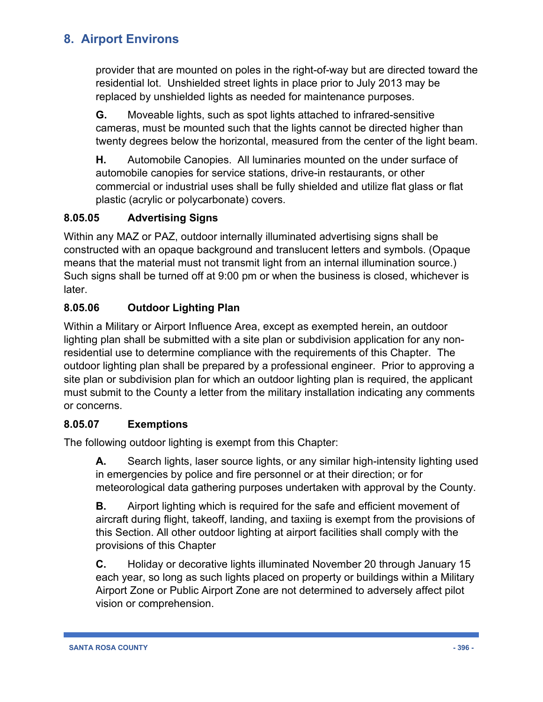provider that are mounted on poles in the right-of-way but are directed toward the residential lot. Unshielded street lights in place prior to July 2013 may be replaced by unshielded lights as needed for maintenance purposes.

**G.** Moveable lights, such as spot lights attached to infrared-sensitive cameras, must be mounted such that the lights cannot be directed higher than twenty degrees below the horizontal, measured from the center of the light beam.

**H.** Automobile Canopies. All luminaries mounted on the under surface of automobile canopies for service stations, drive-in restaurants, or other commercial or industrial uses shall be fully shielded and utilize flat glass or flat plastic (acrylic or polycarbonate) covers.

### **8.05.05 Advertising Signs**

Within any MAZ or PAZ, outdoor internally illuminated advertising signs shall be constructed with an opaque background and translucent letters and symbols. (Opaque means that the material must not transmit light from an internal illumination source.) Such signs shall be turned off at 9:00 pm or when the business is closed, whichever is later.

### **8.05.06 Outdoor Lighting Plan**

Within a Military or Airport Influence Area, except as exempted herein, an outdoor lighting plan shall be submitted with a site plan or subdivision application for any nonresidential use to determine compliance with the requirements of this Chapter. The outdoor lighting plan shall be prepared by a professional engineer. Prior to approving a site plan or subdivision plan for which an outdoor lighting plan is required, the applicant must submit to the County a letter from the military installation indicating any comments or concerns.

### **8.05.07 Exemptions**

The following outdoor lighting is exempt from this Chapter:

**A.** Search lights, laser source lights, or any similar high-intensity lighting used in emergencies by police and fire personnel or at their direction; or for meteorological data gathering purposes undertaken with approval by the County.

**B.** Airport lighting which is required for the safe and efficient movement of aircraft during flight, takeoff, landing, and taxiing is exempt from the provisions of this Section. All other outdoor lighting at airport facilities shall comply with the provisions of this Chapter

**C.** Holiday or decorative lights illuminated November 20 through January 15 each year, so long as such lights placed on property or buildings within a Military Airport Zone or Public Airport Zone are not determined to adversely affect pilot vision or comprehension.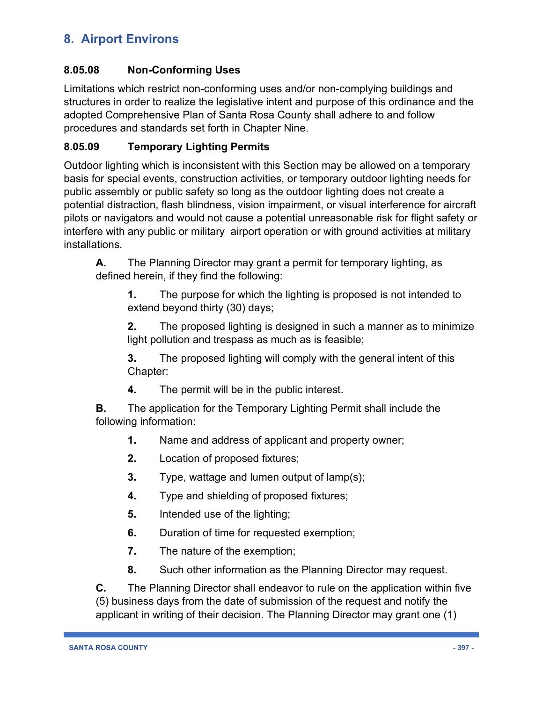### **8.05.08 Non-Conforming Uses**

Limitations which restrict non-conforming uses and/or non-complying buildings and structures in order to realize the legislative intent and purpose of this ordinance and the adopted Comprehensive Plan of Santa Rosa County shall adhere to and follow procedures and standards set forth in Chapter Nine.

### **8.05.09 Temporary Lighting Permits**

Outdoor lighting which is inconsistent with this Section may be allowed on a temporary basis for special events, construction activities, or temporary outdoor lighting needs for public assembly or public safety so long as the outdoor lighting does not create a potential distraction, flash blindness, vision impairment, or visual interference for aircraft pilots or navigators and would not cause a potential unreasonable risk for flight safety or interfere with any public or military airport operation or with ground activities at military installations.

**A.** The Planning Director may grant a permit for temporary lighting, as defined herein, if they find the following:

**1.** The purpose for which the lighting is proposed is not intended to extend beyond thirty (30) days;

**2.** The proposed lighting is designed in such a manner as to minimize light pollution and trespass as much as is feasible;

**3.** The proposed lighting will comply with the general intent of this Chapter:

**4.** The permit will be in the public interest.

**B.** The application for the Temporary Lighting Permit shall include the following information:

- **1.** Name and address of applicant and property owner;
- **2.** Location of proposed fixtures;
- **3.** Type, wattage and lumen output of lamp(s);
- **4.** Type and shielding of proposed fixtures;
- **5.** Intended use of the lighting;
- **6.** Duration of time for requested exemption;
- **7.** The nature of the exemption;
- **8.** Such other information as the Planning Director may request.

**C.** The Planning Director shall endeavor to rule on the application within five (5) business days from the date of submission of the request and notify the applicant in writing of their decision. The Planning Director may grant one (1)